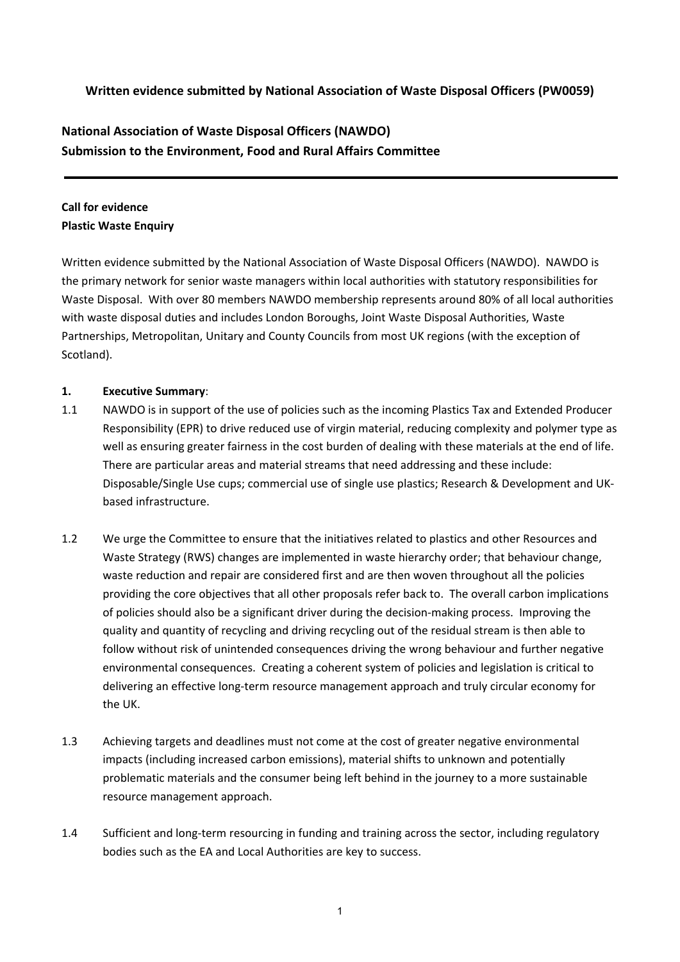# **Written evidence submitted by National Association of Waste Disposal Officers (PW0059)**

# **National Association of Waste Disposal Officers (NAWDO) Submission to the Environment, Food and Rural Affairs Committee**

# **Call for evidence Plastic Waste Enquiry**

Written evidence submitted by the National Association of Waste Disposal Officers (NAWDO). NAWDO is the primary network for senior waste managers within local authorities with statutory responsibilities for Waste Disposal. With over 80 members NAWDO membership represents around 80% of all local authorities with waste disposal duties and includes London Boroughs, Joint Waste Disposal Authorities, Waste Partnerships, Metropolitan, Unitary and County Councils from most UK regions (with the exception of Scotland).

### **1. Executive Summary**:

- 1.1 NAWDO is in support of the use of policies such as the incoming Plastics Tax and Extended Producer Responsibility (EPR) to drive reduced use of virgin material, reducing complexity and polymer type as well as ensuring greater fairness in the cost burden of dealing with these materials at the end of life. There are particular areas and material streams that need addressing and these include: Disposable/Single Use cups; commercial use of single use plastics; Research & Development and UKbased infrastructure.
- 1.2 We urge the Committee to ensure that the initiatives related to plastics and other Resources and Waste Strategy (RWS) changes are implemented in waste hierarchy order; that behaviour change, waste reduction and repair are considered first and are then woven throughout all the policies providing the core objectives that all other proposals refer back to. The overall carbon implications of policies should also be a significant driver during the decision-making process. Improving the quality and quantity of recycling and driving recycling out of the residual stream is then able to follow without risk of unintended consequences driving the wrong behaviour and further negative environmental consequences. Creating a coherent system of policies and legislation is critical to delivering an effective long-term resource management approach and truly circular economy for the UK.
- 1.3 Achieving targets and deadlines must not come at the cost of greater negative environmental impacts (including increased carbon emissions), material shifts to unknown and potentially problematic materials and the consumer being left behind in the journey to a more sustainable resource management approach.
- 1.4 Sufficient and long-term resourcing in funding and training across the sector, including regulatory bodies such as the EA and Local Authorities are key to success.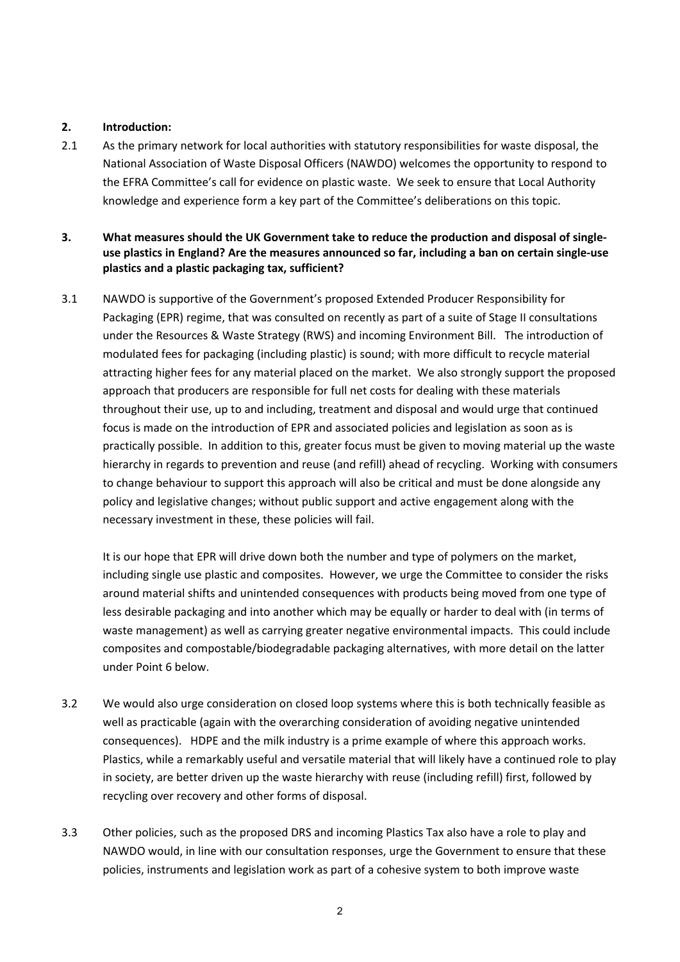#### **2. Introduction:**

2.1 As the primary network for local authorities with statutory responsibilities for waste disposal, the National Association of Waste Disposal Officers (NAWDO) welcomes the opportunity to respond to the EFRA Committee's call for evidence on plastic waste. We seek to ensure that Local Authority knowledge and experience form a key part of the Committee's deliberations on this topic.

### **3. What measures should the UK Government take to reduce the production and disposal of singleuse plastics in England? Are the measures announced so far, including a ban on certain single-use plastics and a plastic packaging tax, sufficient?**

3.1 NAWDO is supportive of the Government's proposed Extended Producer Responsibility for Packaging (EPR) regime, that was consulted on recently as part of a suite of Stage II consultations under the Resources & Waste Strategy (RWS) and incoming Environment Bill. The introduction of modulated fees for packaging (including plastic) is sound; with more difficult to recycle material attracting higher fees for any material placed on the market. We also strongly support the proposed approach that producers are responsible for full net costs for dealing with these materials throughout their use, up to and including, treatment and disposal and would urge that continued focus is made on the introduction of EPR and associated policies and legislation as soon as is practically possible. In addition to this, greater focus must be given to moving material up the waste hierarchy in regards to prevention and reuse (and refill) ahead of recycling. Working with consumers to change behaviour to support this approach will also be critical and must be done alongside any policy and legislative changes; without public support and active engagement along with the necessary investment in these, these policies will fail.

It is our hope that EPR will drive down both the number and type of polymers on the market, including single use plastic and composites. However, we urge the Committee to consider the risks around material shifts and unintended consequences with products being moved from one type of less desirable packaging and into another which may be equally or harder to deal with (in terms of waste management) as well as carrying greater negative environmental impacts. This could include composites and compostable/biodegradable packaging alternatives, with more detail on the latter under Point 6 below.

- 3.2 We would also urge consideration on closed loop systems where this is both technically feasible as well as practicable (again with the overarching consideration of avoiding negative unintended consequences). HDPE and the milk industry is a prime example of where this approach works. Plastics, while a remarkably useful and versatile material that will likely have a continued role to play in society, are better driven up the waste hierarchy with reuse (including refill) first, followed by recycling over recovery and other forms of disposal.
- 3.3 Other policies, such as the proposed DRS and incoming Plastics Tax also have a role to play and NAWDO would, in line with our consultation responses, urge the Government to ensure that these policies, instruments and legislation work as part of a cohesive system to both improve waste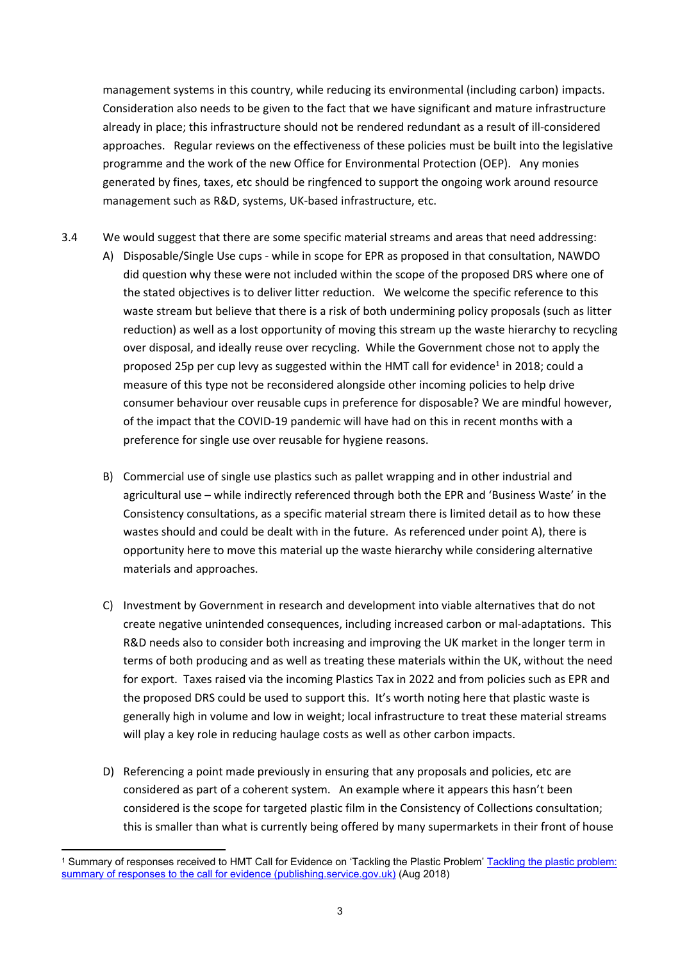management systems in this country, while reducing its environmental (including carbon) impacts. Consideration also needs to be given to the fact that we have significant and mature infrastructure already in place; this infrastructure should not be rendered redundant as a result of ill-considered approaches. Regular reviews on the effectiveness of these policies must be built into the legislative programme and the work of the new Office for Environmental Protection (OEP). Any monies generated by fines, taxes, etc should be ringfenced to support the ongoing work around resource management such as R&D, systems, UK-based infrastructure, etc.

- 3.4 We would suggest that there are some specific material streams and areas that need addressing:
	- A) Disposable/Single Use cups while in scope for EPR as proposed in that consultation, NAWDO did question why these were not included within the scope of the proposed DRS where one of the stated objectives is to deliver litter reduction. We welcome the specific reference to this waste stream but believe that there is a risk of both undermining policy proposals (such as litter reduction) as well as a lost opportunity of moving this stream up the waste hierarchy to recycling over disposal, and ideally reuse over recycling. While the Government chose not to apply the proposed 25p per cup levy as suggested within the HMT call for evidence<sup>1</sup> in 2018; could a measure of this type not be reconsidered alongside other incoming policies to help drive consumer behaviour over reusable cups in preference for disposable? We are mindful however, of the impact that the COVID-19 pandemic will have had on this in recent months with a preference for single use over reusable for hygiene reasons.
	- B) Commercial use of single use plastics such as pallet wrapping and in other industrial and agricultural use – while indirectly referenced through both the EPR and 'Business Waste' in the Consistency consultations, as a specific material stream there is limited detail as to how these wastes should and could be dealt with in the future. As referenced under point A), there is opportunity here to move this material up the waste hierarchy while considering alternative materials and approaches.
	- C) Investment by Government in research and development into viable alternatives that do not create negative unintended consequences, including increased carbon or mal-adaptations. This R&D needs also to consider both increasing and improving the UK market in the longer term in terms of both producing and as well as treating these materials within the UK, without the need for export. Taxes raised via the incoming Plastics Tax in 2022 and from policies such as EPR and the proposed DRS could be used to support this. It's worth noting here that plastic waste is generally high in volume and low in weight; local infrastructure to treat these material streams will play a key role in reducing haulage costs as well as other carbon impacts.
	- D) Referencing a point made previously in ensuring that any proposals and policies, etc are considered as part of a coherent system. An example where it appears this hasn't been considered is the scope for targeted plastic film in the Consistency of Collections consultation; this is smaller than what is currently being offered by many supermarkets in their front of house

<sup>1</sup> Summary of responses received to HMT Call for Evidence on 'Tackling the Plastic Problem' [Tackling](https://assets.publishing.service.gov.uk/government/uploads/system/uploads/attachment_data/file/734837/Plastics_call_for_evidence_summary_of_responses_web.pdf) [the](https://assets.publishing.service.gov.uk/government/uploads/system/uploads/attachment_data/file/734837/Plastics_call_for_evidence_summary_of_responses_web.pdf) [plastic](https://assets.publishing.service.gov.uk/government/uploads/system/uploads/attachment_data/file/734837/Plastics_call_for_evidence_summary_of_responses_web.pdf) [problem:](https://assets.publishing.service.gov.uk/government/uploads/system/uploads/attachment_data/file/734837/Plastics_call_for_evidence_summary_of_responses_web.pdf) [summary](https://assets.publishing.service.gov.uk/government/uploads/system/uploads/attachment_data/file/734837/Plastics_call_for_evidence_summary_of_responses_web.pdf) [of](https://assets.publishing.service.gov.uk/government/uploads/system/uploads/attachment_data/file/734837/Plastics_call_for_evidence_summary_of_responses_web.pdf) [responses](https://assets.publishing.service.gov.uk/government/uploads/system/uploads/attachment_data/file/734837/Plastics_call_for_evidence_summary_of_responses_web.pdf) [to](https://assets.publishing.service.gov.uk/government/uploads/system/uploads/attachment_data/file/734837/Plastics_call_for_evidence_summary_of_responses_web.pdf) [the](https://assets.publishing.service.gov.uk/government/uploads/system/uploads/attachment_data/file/734837/Plastics_call_for_evidence_summary_of_responses_web.pdf) [call](https://assets.publishing.service.gov.uk/government/uploads/system/uploads/attachment_data/file/734837/Plastics_call_for_evidence_summary_of_responses_web.pdf) [for](https://assets.publishing.service.gov.uk/government/uploads/system/uploads/attachment_data/file/734837/Plastics_call_for_evidence_summary_of_responses_web.pdf) [evidence](https://assets.publishing.service.gov.uk/government/uploads/system/uploads/attachment_data/file/734837/Plastics_call_for_evidence_summary_of_responses_web.pdf) [\(publishing.service.gov.uk\)](https://assets.publishing.service.gov.uk/government/uploads/system/uploads/attachment_data/file/734837/Plastics_call_for_evidence_summary_of_responses_web.pdf) (Aug 2018)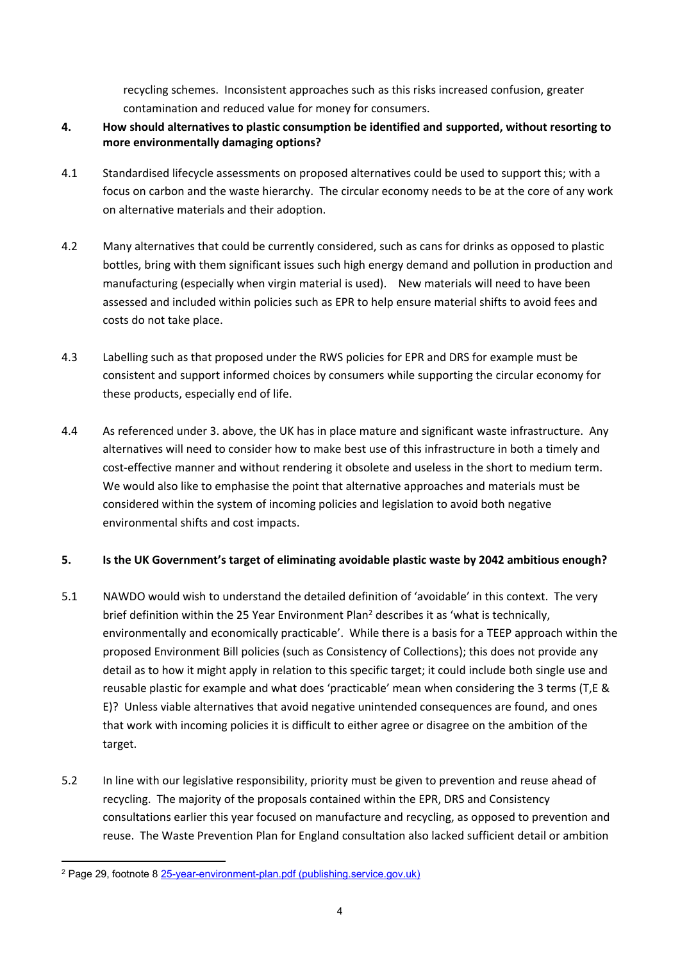recycling schemes. Inconsistent approaches such as this risks increased confusion, greater contamination and reduced value for money for consumers.

- **4. How should alternatives to plastic consumption be identified and supported, without resorting to more environmentally damaging options?**
- 4.1 Standardised lifecycle assessments on proposed alternatives could be used to support this; with a focus on carbon and the waste hierarchy. The circular economy needs to be at the core of any work on alternative materials and their adoption.
- 4.2 Many alternatives that could be currently considered, such as cans for drinks as opposed to plastic bottles, bring with them significant issues such high energy demand and pollution in production and manufacturing (especially when virgin material is used). New materials will need to have been assessed and included within policies such as EPR to help ensure material shifts to avoid fees and costs do not take place.
- 4.3 Labelling such as that proposed under the RWS policies for EPR and DRS for example must be consistent and support informed choices by consumers while supporting the circular economy for these products, especially end of life.
- 4.4 As referenced under 3. above, the UK has in place mature and significant waste infrastructure. Any alternatives will need to consider how to make best use of this infrastructure in both a timely and cost-effective manner and without rendering it obsolete and useless in the short to medium term. We would also like to emphasise the point that alternative approaches and materials must be considered within the system of incoming policies and legislation to avoid both negative environmental shifts and cost impacts.

### **5. Is the UK Government's target of eliminating avoidable plastic waste by 2042 ambitious enough?**

- 5.1 NAWDO would wish to understand the detailed definition of 'avoidable' in this context. The very brief definition within the 25 Year Environment Plan<sup>2</sup> describes it as 'what is technically, environmentally and economically practicable'. While there is a basis for a TEEP approach within the proposed Environment Bill policies (such as Consistency of Collections); this does not provide any detail as to how it might apply in relation to this specific target; it could include both single use and reusable plastic for example and what does 'practicable' mean when considering the 3 terms (T,E & E)? Unless viable alternatives that avoid negative unintended consequences are found, and ones that work with incoming policies it is difficult to either agree or disagree on the ambition of the target.
- 5.2 In line with our legislative responsibility, priority must be given to prevention and reuse ahead of recycling. The majority of the proposals contained within the EPR, DRS and Consistency consultations earlier this year focused on manufacture and recycling, as opposed to prevention and reuse. The Waste Prevention Plan for England consultation also lacked sufficient detail or ambition

<sup>2</sup> Page 29, footnote 8 [25-year-environment-plan.pdf](https://assets.publishing.service.gov.uk/government/uploads/system/uploads/attachment_data/file/693158/25-year-environment-plan.pdf) [\(publishing.service.gov.uk\)](https://assets.publishing.service.gov.uk/government/uploads/system/uploads/attachment_data/file/693158/25-year-environment-plan.pdf)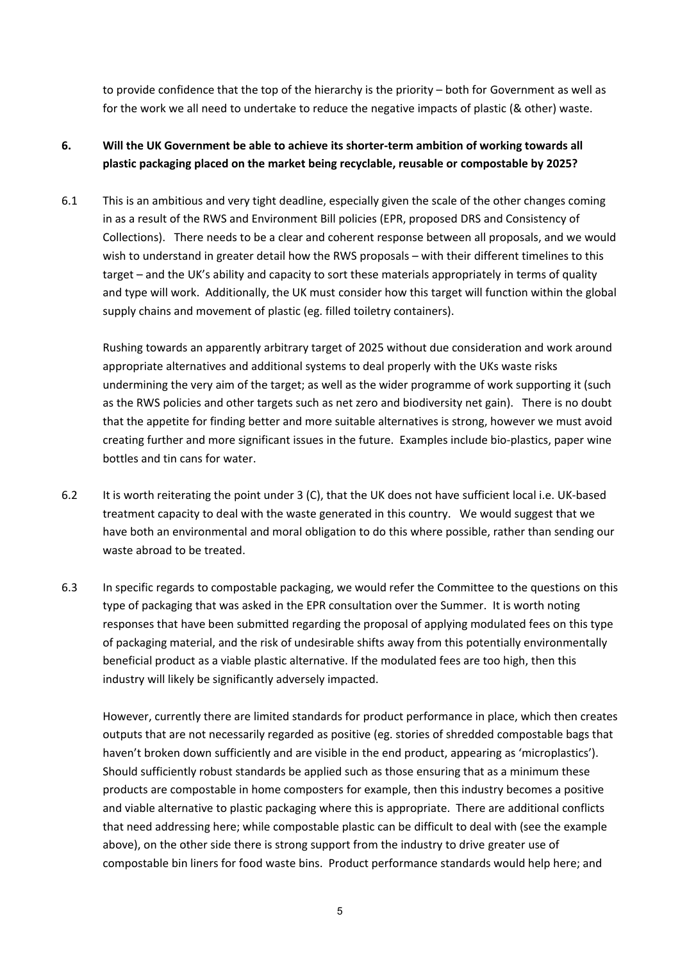to provide confidence that the top of the hierarchy is the priority – both for Government as well as for the work we all need to undertake to reduce the negative impacts of plastic (& other) waste.

# **6. Will the UK Government be able to achieve its shorter-term ambition of working towards all plastic packaging placed on the market being recyclable, reusable or compostable by 2025?**

6.1 This is an ambitious and very tight deadline, especially given the scale of the other changes coming in as a result of the RWS and Environment Bill policies (EPR, proposed DRS and Consistency of Collections). There needs to be a clear and coherent response between all proposals, and we would wish to understand in greater detail how the RWS proposals – with their different timelines to this target – and the UK's ability and capacity to sort these materials appropriately in terms of quality and type will work. Additionally, the UK must consider how this target will function within the global supply chains and movement of plastic (eg. filled toiletry containers).

Rushing towards an apparently arbitrary target of 2025 without due consideration and work around appropriate alternatives and additional systems to deal properly with the UKs waste risks undermining the very aim of the target; as well as the wider programme of work supporting it (such as the RWS policies and other targets such as net zero and biodiversity net gain). There is no doubt that the appetite for finding better and more suitable alternatives is strong, however we must avoid creating further and more significant issues in the future. Examples include bio-plastics, paper wine bottles and tin cans for water.

- 6.2 It is worth reiterating the point under 3 (C), that the UK does not have sufficient local i.e. UK-based treatment capacity to deal with the waste generated in this country. We would suggest that we have both an environmental and moral obligation to do this where possible, rather than sending our waste abroad to be treated.
- 6.3 In specific regards to compostable packaging, we would refer the Committee to the questions on this type of packaging that was asked in the EPR consultation over the Summer. It is worth noting responses that have been submitted regarding the proposal of applying modulated fees on this type of packaging material, and the risk of undesirable shifts away from this potentially environmentally beneficial product as a viable plastic alternative. If the modulated fees are too high, then this industry will likely be significantly adversely impacted.

However, currently there are limited standards for product performance in place, which then creates outputs that are not necessarily regarded as positive (eg. stories of shredded compostable bags that haven't broken down sufficiently and are visible in the end product, appearing as 'microplastics'). Should sufficiently robust standards be applied such as those ensuring that as a minimum these products are compostable in home composters for example, then this industry becomes a positive and viable alternative to plastic packaging where this is appropriate. There are additional conflicts that need addressing here; while compostable plastic can be difficult to deal with (see the example above), on the other side there is strong support from the industry to drive greater use of compostable bin liners for food waste bins. Product performance standards would help here; and